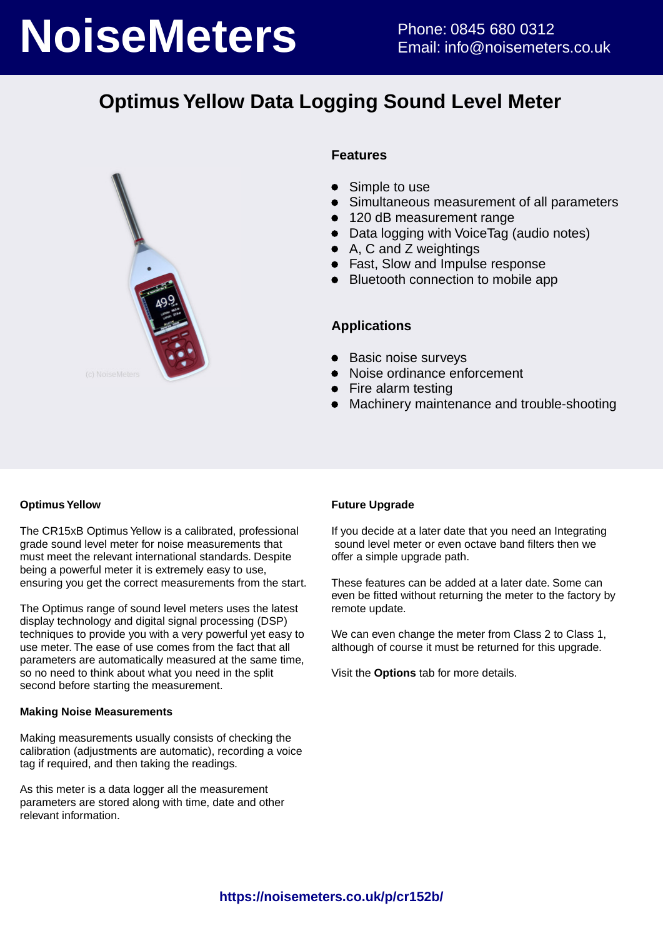# **NoiseMeters** Phone: 0845 680 0312

# **Optimus Yellow Data Logging Sound Level Meter**



#### **Features**

- $\bullet$ Simple to use
- Simultaneous measurement of all parameters
- 120 dB measurement range
- $\bullet$ Data logging with VoiceTag (audio notes)
- A, C and Z weightings
- Fast, Slow and Impulse response
- Bluetooth connection to mobile app

#### **Applications**

- Basic noise surveys
- Noise ordinance enforcement
- Fire alarm testing
- Machinery maintenance and trouble-shooting  $\bullet$

#### **Optimus Yellow**

The CR15xB Optimus Yellow is a calibrated, professional grade sound level meter for noise measurements that must meet the relevant international standards. Despite being a powerful meter it is extremely easy to use, ensuring you get the correct measurements from the start.

The Optimus range of sound level meters uses the latest display technology and digital signal processing (DSP) techniques to provide you with a very powerful yet easy to use meter. The ease of use comes from the fact that all parameters are automatically measured at the same time, so no need to think about what you need in the split second before starting the measurement.

#### **Making Noise Measurements**

Making measurements usually consists of checking the calibration (adjustments are automatic), recording a voice tag if required, and then taking the readings.

As this meter is a data logger all the measurement parameters are stored along with time, date and other relevant information.

#### **Future Upgrade**

If you decide at a later date that you need an Integrating sound level meter or even octave band filters then we offer a simple upgrade path.

These features can be added at a later date. Some can even be fitted without returning the meter to the factory by remote update.

We can even change the meter from Class 2 to Class 1, although of course it must be returned for this upgrade.

Visit the **Options** tab for more details.